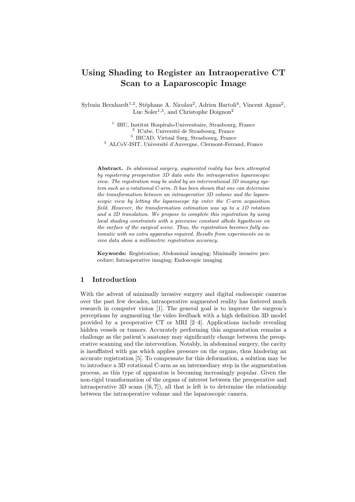# Using Shading to Register an Intraoperative CT Scan to a Laparoscopic Image

Sylvain Bernhardt<sup>1,2</sup>, Stéphane A. Nicolau<sup>2</sup>, Adrien Bartoli<sup>4</sup>, Vincent Agnus<sup>2</sup>, Luc Soler<sup>1,3</sup>, and Christophe Doignon<sup>2</sup>

> <sup>1</sup> IHU, Institut Hospitalo-Universitaire, Strasbourg, France <sup>2</sup> ICube, Université de Strasbourg, France 3 IRCAD, Virtual Surg, Strasbourg, France <sup>4</sup> ALCoV-ISIT, Université d'Auvergne, Clermont-Ferrand, France

Abstract. In abdominal surgery, augmented reality has been attempted by registering preoperative 3D data onto the intraoperative laparoscopic view. The registration may be aided by an interventional 3D imaging system such as a rotational C-arm. It has been shown that one can determine the transformation between an intraoperative 3D volume and the laparoscopic view by letting the laparoscope tip enter the C-arm acquisition field. However, the transformation estimation was up to a 1D rotation and a 2D translation. We propose to complete this registration by using local shading constraints with a piecewise constant albedo hypothesis on the surface of the surgical scene. Thus, the registration becomes fully automatic with no extra apparatus required. Results from experiments on in vivo data show a millimetric registration accuracy.

Keywords: Registration; Abdominal imaging; Minimally invasive procedure; Intraoperative imaging; Endoscopic imaging

### 1 Introduction

With the advent of minimally invasive surgery and digital endoscopic cameras over the past few decades, intraoperative augmented reality has fostered much research in computer vision [1]. The general goal is to improve the surgeon's perceptions by augmenting the video feedback with a high definition 3D model provided by a preoperative CT or MRI [2–4]. Applications include revealing hidden vessels or tumors. Accurately performing this augmentation remains a challenge as the patient's anatomy may significantly change between the preoperative scanning and the intervention. Notably, in abdominal surgery, the cavity is insufflated with gas which applies pressure on the organs, thus hindering an accurate registration [5]. To compensate for this deformation, a solution may be to introduce a 3D rotational C-arm as an intermediary step in the augmentation process, as this type of apparatus is becoming increasingly popular. Given the non-rigid transformation of the organs of interest between the preoperative and intraoperative 3D scans  $([6, 7])$ , all that is left is to determine the relationship between the intraoperative volume and the laparoscopic camera.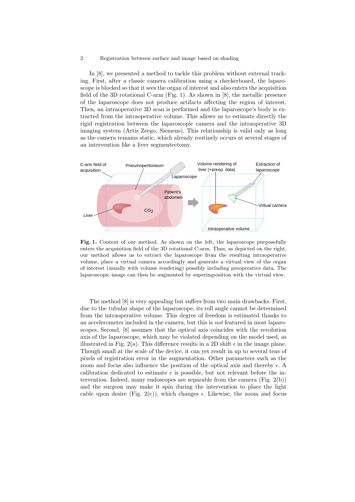In [8], we presented a method to tackle this problem without external tracking. First, after a classic camera calibration using a checkerboard, the laparoscope is blocked so that it sees the organ of interest and also enters the acquisition field of the 3D rotational C-arm (Fig. 1). As shown in [8], the metallic presence of the laparoscope does not produce artifacts affecting the region of interest. Then, an intraoperative 3D scan is performed and the laparoscope's body is extracted from the intraoperative volume. This allows us to estimate directly the rigid registration between the laparoscopic camera and the intraoperative 3D imaging system (Artis Zeego, Siemens). This relationship is valid only as long as the camera remains static, which already routinely occurs at several stages of an intervention like a liver segmentectomy.



Fig. 1. Context of our method. As shown on the left, the laparoscope purposefully enters the acquisition field of the 3D rotational C-arm. Thus, as depicted on the right, our method allows us to extract the laparoscope from the resulting intraoperative volume, place a virtual camera accordingly and generate a virtual view of the organ of interest (usually with volume rendering) possibly including preoperative data. The laparoscopic image can then be augmented by superimposition with the virtual view.

The method [8] is very appealing but suffers from two main drawbacks. First, due to the tubular shape of the laparoscope, its roll angle cannot be determined from the intraoperative volume. This degree of freedom is estimated thanks to an accelerometer included in the camera, but this is not featured in most laparoscopes. Second, [8] assumes that the optical axis coincides with the revolution axis of the laparoscope, which may be violated depending on the model used, as illustrated in Fig. 2(a). This difference results in a 2D shift  $\epsilon$  in the image plane. Though small at the scale of the device, it can yet result in up to several tens of pixels of registration error in the augmentation. Other parameters such as the zoom and focus also influence the position of the optical axis and thereby  $\epsilon$ . A calibration dedicated to estimate  $\epsilon$  is possible, but not relevant before the intervention. Indeed, many endoscopes are separable from the camera  $(Fig. 2(b))$ and the surgeon may make it spin during the intervention to place the light cable upon desire (Fig. 2(c)), which changes  $\epsilon$ . Likewise, the zoom and focus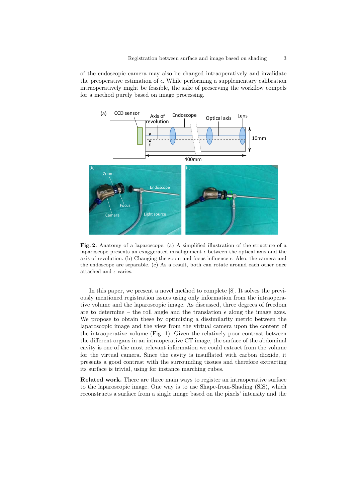of the endoscopic camera may also be changed intraoperatively and invalidate the preoperative estimation of  $\epsilon$ . While performing a supplementary calibration intraoperatively might be feasible, the sake of preserving the workflow compels for a method purely based on image processing.



Fig. 2. Anatomy of a laparoscope. (a) A simplified illustration of the structure of a laparoscope presents an exaggerated misalignment  $\epsilon$  between the optical axis and the axis of revolution. (b) Changing the zoom and focus influence  $\epsilon$ . Also, the camera and the endoscope are separable. (c) As a result, both can rotate around each other once attached and  $\epsilon$  varies.

In this paper, we present a novel method to complete [8]. It solves the previously mentioned registration issues using only information from the intraoperative volume and the laparoscopic image. As discussed, three degrees of freedom are to determine – the roll angle and the translation  $\epsilon$  along the image axes. We propose to obtain these by optimizing a dissimilarity metric between the laparoscopic image and the view from the virtual camera upon the content of the intraoperative volume (Fig. 1). Given the relatively poor contrast between the different organs in an intraoperative CT image, the surface of the abdominal cavity is one of the most relevant information we could extract from the volume for the virtual camera. Since the cavity is insufflated with carbon dioxide, it presents a good contrast with the surrounding tissues and therefore extracting its surface is trivial, using for instance marching cubes.

Related work. There are three main ways to register an intraoperative surface to the laparoscopic image. One way is to use Shape-from-Shading (SfS), which reconstructs a surface from a single image based on the pixels' intensity and the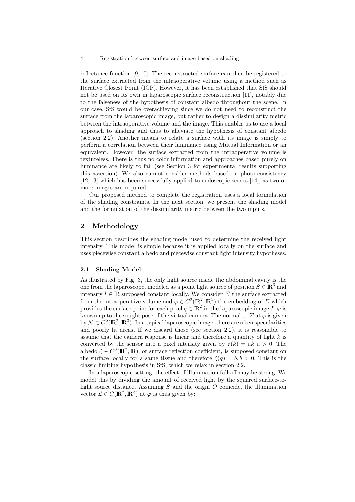reflectance function [9, 10]. The reconstructed surface can then be registered to the surface extracted from the intraoperative volume using a method such as Iterative Closest Point (ICP). However, it has been established that SfS should not be used on its own in laparoscopic surface reconstruction [11], notably due to the falseness of the hypothesis of constant albedo throughout the scene. In our case, SfS would be overachieving since we do not need to reconstruct the surface from the laparoscopic image, but rather to design a dissimilarity metric between the intraoperative volume and the image. This enables us to use a local approach to shading and thus to alleviate the hypothesis of constant albedo (section 2.2). Another means to relate a surface with its image is simply to perform a correlation between their luminance using Mutual Information or an equivalent. However, the surface extracted from the intraoperative volume is textureless. There is thus no color information and approaches based purely on luminance are likely to fail (see Section 3 for experimental results supporting this assertion). We also cannot consider methods based on photo-consistency [12, 13] which has been successfully applied to endoscopic scenes [14], as two or more images are required.

Our proposed method to complete the registration uses a local formulation of the shading constraints. In the next section, we present the shading model and the formulation of the dissimilarity metric between the two inputs.

### 2 Methodology

This section describes the shading model used to determine the received light intensity. This model is simple because it is applied locally on the surface and uses piecewise constant albedo and piecewise constant light intensity hypotheses.

#### 2.1 Shading Model

As illustrated by Fig. 3, the only light source inside the abdominal cavity is the one from the laparoscope, modeled as a point light source of position  $S \in \mathbb{R}^3$  and intensity  $l \in \mathbb{R}$  supposed constant locally. We consider  $\Sigma$  the surface extracted from the intraoperative volume and  $\varphi \in C^2(\mathbb{R}^2, \mathbb{R}^3)$  the embedding of  $\Sigma$  which provides the surface point for each pixel  $q \in \mathbb{R}^2$  in the laparoscopic image  $I. \varphi$  is known up to the sought pose of the virtual camera. The normal to  $\Sigma$  at  $\varphi$  is given by  $\mathcal{N} \in C^2(\mathbb{R}^2, \mathbb{R}^3)$ . In a typical laparoscopic image, there are often specularities and poorly lit areas. If we discard those (see section 2.2), it is reasonable to assume that the camera response is linear and therefore a quantity of light  $k$  is converted by the sensor into a pixel intensity given by  $\tau(k) = ak, a > 0$ . The albedo  $\zeta \in C^0(\mathbb{R}^2, \mathbb{R})$ , or surface reflection coefficient, is supposed constant on the surface locally for a same tissue and therefore  $\zeta(q) = b, b > 0$ . This is the classic limiting hypothesis in SfS, which we relax in section 2.2.

In a laparoscopic setting, the effect of illumination fall-off may be strong. We model this by dividing the amount of received light by the squared surface-tolight source distance. Assuming  $S$  and the origin  $O$  coincide, the illumination vector  $\mathcal{L} \in C(\mathbb{R}^2, \mathbb{R}^3)$  at  $\varphi$  is thus given by: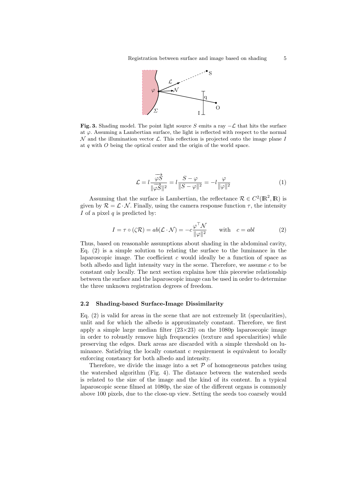

Fig. 3. Shading model. The point light source S emits a ray  $-\mathcal{L}$  that hits the surface at  $\varphi$ . Assuming a Lambertian surface, the light is reflected with respect to the normal  $\mathcal N$  and the illumination vector  $\mathcal L$ . This reflection is projected onto the image plane I at  $q$  with  $O$  being the optical center and the origin of the world space.

$$
\mathcal{L} = l \frac{\overrightarrow{\varphi S}}{\|\overrightarrow{\varphi S}\|^2} = l \frac{S - \varphi}{\|S - \varphi\|^2} = -l \frac{\varphi}{\|\varphi\|^2}
$$
(1)

Assuming that the surface is Lambertian, the reflectance  $\mathcal{R} \in C^2(\mathbb{R}^2, \mathbb{R})$  is given by  $\mathcal{R} = \mathcal{L} \cdot \mathcal{N}$ . Finally, using the camera response function  $\tau$ , the intensity I of a pixel  $q$  is predicted by:

$$
I = \tau \circ (\zeta \mathcal{R}) = ab(\mathcal{L} \cdot \mathcal{N}) = -c \frac{\varphi^{\top} \mathcal{N}}{\|\varphi\|^2} \quad \text{with} \quad c = abl \tag{2}
$$

Thus, based on reasonable assumptions about shading in the abdominal cavity, Eq. (2) is a simple solution to relating the surface to the luminance in the laparoscopic image. The coefficient  $c$  would ideally be a function of space as both albedo and light intensity vary in the scene. Therefore, we assume  $c$  to be constant only locally. The next section explains how this piecewise relationship between the surface and the laparoscopic image can be used in order to determine the three unknown registration degrees of freedom.

#### 2.2 Shading-based Surface-Image Dissimilarity

Eq. (2) is valid for areas in the scene that are not extremely lit (specularities), unlit and for which the albedo is approximately constant. Therefore, we first apply a simple large median filter  $(23\times23)$  on the 1080p laparoscopic image in order to robustly remove high frequencies (texture and specularities) while preserving the edges. Dark areas are discarded with a simple threshold on luminance. Satisfying the locally constant c requirement is equivalent to locally enforcing constancy for both albedo and intensity.

Therefore, we divide the image into a set  $P$  of homogeneous patches using the watershed algorithm (Fig. 4). The distance between the watershed seeds is related to the size of the image and the kind of its content. In a typical laparoscopic scene filmed at 1080p, the size of the different organs is commonly above 100 pixels, due to the close-up view. Setting the seeds too coarsely would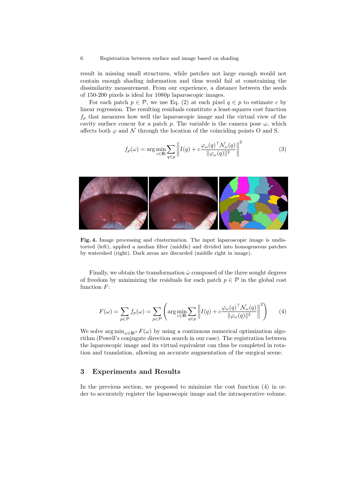result in missing small structures, while patches not large enough would not contain enough shading information and thus would fail at constraining the dissimilarity measurement. From our experience, a distance between the seeds of 150-200 pixels is ideal for 1080p laparoscopic images.

For each patch  $p \in \mathcal{P}$ , we use Eq. (2) at each pixel  $q \in p$  to estimate c by linear regression. The resulting residuals constitute a least-squares cost function  $f_p$  that measures how well the laparoscopic image and the virtual view of the cavity surface concur for a patch p. The variable is the camera pose  $\omega$ , which affects both  $\varphi$  and  $\mathcal N$  through the location of the coinciding points O and S.

$$
f_p(\omega) = \arg \min_{c \in \mathbb{R}} \sum_{q \in p} \left\| I(q) + c \frac{\varphi_\omega(q)^\top \mathcal{N}_\omega(q)}{\|\varphi_\omega(q)\|^2} \right\|^2 \tag{3}
$$



Fig. 4. Image processing and clusterization. The input laparoscopic image is undistorted (left), applied a median filter (middle) and divided into homogeneous patches by watershed (right). Dark areas are discarded (middle right in image).

Finally, we obtain the transformation  $\hat{\omega}$  composed of the three sought degrees of freedom by minimizing the residuals for each patch  $p \in \mathcal{P}$  in the global cost function  $F$ :

$$
F(\omega) = \sum_{p \in \mathcal{P}} f_p(\omega) = \sum_{p \in \mathcal{P}} \left( \arg \min_{c \in \mathbb{R}} \sum_{q \in p} \left\| I(q) + c \frac{\varphi_\omega(q)^\top \mathcal{N}_\omega(q)}{\|\varphi_\omega(q)\|^2} \right\|^2 \right) \tag{4}
$$

We solve  $\arg \min_{\omega \in \mathbb{R}^3} F(\omega)$  by using a continuous numerical optimization algorithm (Powell's conjugate direction search in our case). The registration between the laparoscopic image and its virtual equivalent can thus be completed in rotation and translation, allowing an accurate augmentation of the surgical scene.

## 3 Experiments and Results

In the previous section, we proposed to minimize the cost function (4) in order to accurately register the laparoscopic image and the intraoperative volume.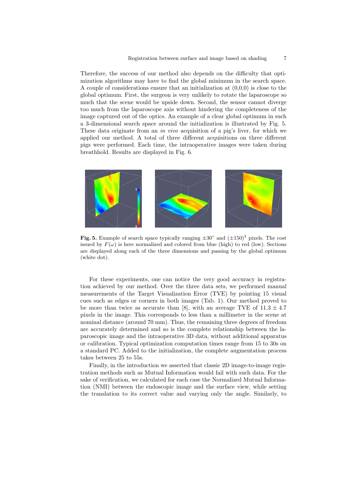Therefore, the success of our method also depends on the difficulty that optimization algorithms may have to find the global minimum in the search space. A couple of considerations ensure that an initialization at  $(0,0,0)$  is close to the global optimum. First, the surgeon is very unlikely to rotate the laparoscope so much that the scene would be upside down. Second, the sensor cannot diverge too much from the laparoscope axis without hindering the completeness of the image captured out of the optics. An example of a clear global optimum in such a 3-dimensional search space around the initialization is illustrated by Fig. 5. These data originate from an in vivo acquisition of a pig's liver, for which we applied our method. A total of three different acquisitions on three different pigs were performed. Each time, the intraoperative images were taken during breathhold. Results are displayed in Fig. 6.



Fig. 5. Example of search space typically ranging  $\pm 30^{\circ}$  and  $(\pm 150)^2$  pixels. The cost issued by  $F(\omega)$  is here normalized and colored from blue (high) to red (low). Sections are displayed along each of the three dimensions and passing by the global optimum (white dot).

For these experiments, one can notice the very good accuracy in registration achieved by our method. Over the three data sets, we performed manual measurements of the Target Visualization Error (TVE) by pointing 15 visual cues such as edges or corners in both images (Tab. 1). Our method proved to be more than twice as accurate than [8], with an average TVE of  $11.3 \pm 4.7$ pixels in the image. This corresponds to less than a millimeter in the scene at nominal distance (around 70 mm). Thus, the remaining three degrees of freedom are accurately determined and so is the complete relationship between the laparoscopic image and the intraoperative 3D data, without additional apparatus or calibration. Typical optimization computation times range from 15 to 30s on a standard PC. Added to the initialization, the complete augmentation process takes between 25 to 55s.

Finally, in the introduction we asserted that classic 2D image-to-image registration methods such as Mutual Information would fail with such data. For the sake of verification, we calculated for each case the Normalized Mutual Information (NMI) between the endoscopic image and the surface view, while setting the translation to its correct value and varying only the angle. Similarly, to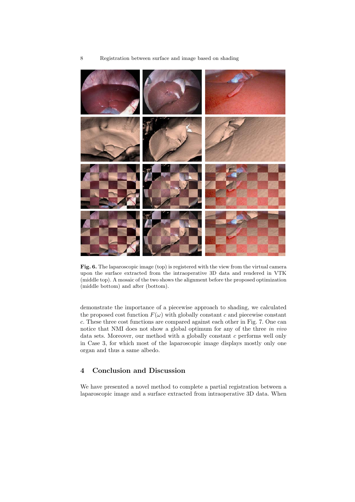

Fig. 6. The laparoscopic image (top) is registered with the view from the virtual camera upon the surface extracted from the intraoperative 3D data and rendered in VTK (middle top). A mosaic of the two shows the alignment before the proposed optimization (middle bottom) and after (bottom).

demonstrate the importance of a piecewise approach to shading, we calculated the proposed cost function  $F(\omega)$  with globally constant c and piecewise constant c. These three cost functions are compared against each other in Fig. 7. One can notice that NMI does not show a global optimum for any of the three in vivo data sets. Moreover, our method with a globally constant c performs well only in Case 3, for which most of the laparoscopic image displays mostly only one organ and thus a same albedo.

# 4 Conclusion and Discussion

We have presented a novel method to complete a partial registration between a laparoscopic image and a surface extracted from intraoperative 3D data. When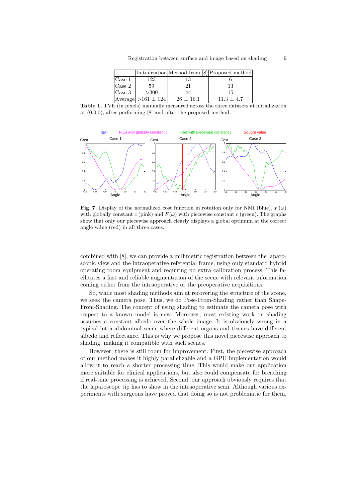|                |                                  |               | Initialization Method from [8] Proposed method |
|----------------|----------------------------------|---------------|------------------------------------------------|
| $\vert$ Case 1 | 123                              | 13            |                                                |
| $\cos 2$       | 59                               | 21            | 13                                             |
| $\vert$ Case 3 | >300                             | 44            | 15                                             |
|                | $ \text{Average}  > 161 \pm 124$ | $26 \pm 16.1$ | $11.3 \pm 4.7$                                 |

Table 1. TVE (in pixels) manually measured across the three datasets at initialization at (0,0,0), after performing [8] and after the proposed method.



Fig. 7. Display of the normalized cost function in rotation only for NMI (blue),  $F(\omega)$ with globally constant c (pink) and  $F(\omega)$  with piecewise constant c (green). The graphs show that only our piecewise approach clearly displays a global optimum at the correct angle value (red) in all three cases.

combined with [8], we can provide a millimetric registration between the laparoscopic view and the intraoperative referential frame, using only standard hybrid operating room equipment and requiring no extra calibration process. This facilitates a fast and reliable augmentation of the scene with relevant information coming either from the intraoperative or the preoperative acquisitions.

So, while most shading methods aim at recovering the structure of the scene, we seek the camera pose. Thus, we do Pose-From-Shading rather than Shape-From-Shading. The concept of using shading to estimate the camera pose with respect to a known model is new. Moreover, most existing work on shading assumes a constant albedo over the whole image. It is obviously wrong in a typical intra-abdominal scene where different organs and tissues have different albedo and reflectance. This is why we propose this novel piecewise approach to shading, making it compatible with such scenes.

However, there is still room for improvement. First, the piecewise approach of our method makes it highly parallelizable and a GPU implementation would allow it to reach a shorter processing time. This would make our application more suitable for clinical applications, but also could compensate for breathing if real-time processing is achieved. Second, our approach obviously requires that the laparoscope tip has to show in the intraoperative scan. Although various experiments with surgeons have proved that doing so is not problematic for them,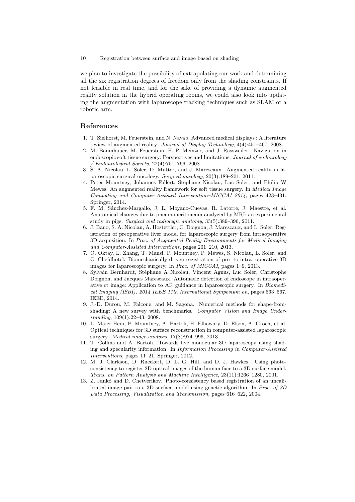we plan to investigate the possibility of extrapolating our work and determining all the six registration degrees of freedom only from the shading constraints. If not feasible in real time, and for the sake of providing a dynamic augmented reality solution in the hybrid operating rooms, we could also look into updating the augmentation with laparoscope tracking techniques such as SLAM or a robotic arm.

### References

- 1. T. Sielhorst, M. Feuerstein, and N. Navab. Advanced medical displays : A literature review of augmented reality. Journal of Display Technology, 4(4):451-467, 2008.
- 2. M. Baumhauer, M. Feuerstein, H.-P. Meinzer, and J. Rassweiler. Navigation in endoscopic soft tissue surgery: Perspectives and limitations. Journal of endourology / Endourological Society, 22(4):751–766, 2008.
- 3. S. A. Nicolau, L. Soler, D. Mutter, and J. Marescaux. Augmented reality in laparoscopic surgical oncology. Surgical oncology, 20(3):189–201, 2011.
- 4. Peter Mountney, Johannes Fallert, Stephane Nicolau, Luc Soler, and Philip W Mewes. An augmented reality framework for soft tissue surgery. In Medical Image Computing and Computer-Assisted Intervention–MICCAI 2014, pages 423–431. Springer, 2014.
- 5. F. M. S´anchez-Margallo, J. L. Moyano-Cuevas, R. Latorre, J. Maestre, et al. Anatomical changes due to pneumoperitoneum analyzed by MRI: an experimental study in pigs. Surgical and radiologic anatomy, 33(5):389–396, 2011.
- 6. J. Bano, S. A. Nicolau, A. Hostettler, C. Doignon, J. Marescaux, and L. Soler. Registration of preoperative liver model for laparoscopic surgery from intraoperative 3D acquisition. In Proc. of Augmented Reality Environments for Medical Imaging and Computer-Assisted Interventions, pages 201–210, 2013.
- 7. O. Oktay, L. Zhang, T. Mansi, P. Mountney, P. Mewes, S. Nicolau, L. Soler, and C. Chefdhotel. Biomechanically driven registration of pre- to intra- operative 3D images for laparoscopic surgery. In Proc. of MICCAI, pages 1–9, 2013.
- 8. Sylvain Bernhardt, Stéphane A Nicolau, Vincent Agnus, Luc Soler, Christophe Doignon, and Jacques Marescaux. Automatic detection of endoscope in intraoperative ct image: Application to AR guidance in laparoscopic surgery. In Biomedical Imaging (ISBI), 2014 IEEE 11th International Symposium on, pages 563–567. IEEE, 2014.
- 9. J.-D. Durou, M. Falcone, and M. Sagona. Numerical methods for shape-fromshading: A new survey with benchmarks. Computer Vision and Image Understanding, 109(1):22–43, 2008.
- 10. L. Maier-Hein, P. Mountney, A. Bartoli, H. Elhawary, D. Elson, A. Groch, et al. Optical techniques for 3D surface reconstruction in computer-assisted laparoscopic surgery. Medical image analysis, 17(8):974–996, 2013.
- 11. T. Collins and A. Bartoli. Towards live monocular 3D laparoscopy using shading and specularity information. In Information Processing in Computer-Assisted Interventions, pages 11–21. Springer, 2012.
- 12. M. J. Clarkson, D. Rueckert, D. L. G. Hill, and D. J. Hawkes. Using photoconsistency to register 2D optical images of the human face to a 3D surface model. Trans. on Pattern Analysis and Machine Intelligence, 23(11):1266–1280, 2001.
- 13. Z. Jankó and D. Chetverikov. Photo-consistency based registration of an uncalibrated image pair to a 3D surface model using genetic algorithm. In Proc. of 3D Data Processing, Visualization and Transmission, pages 616–622, 2004.